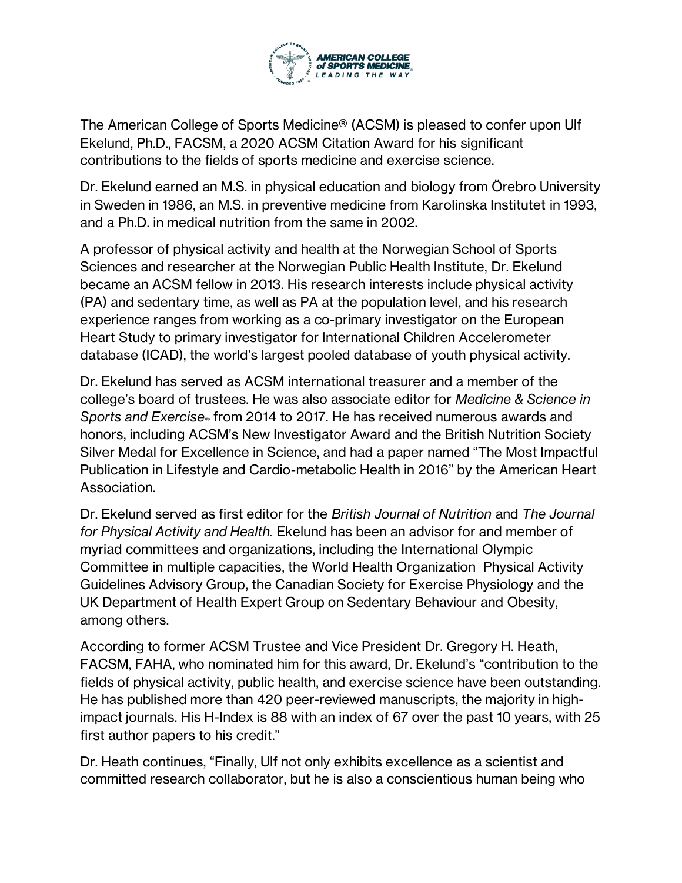

The American College of Sports Medicine® (ACSM) is pleased to confer upon Ulf Ekelund, Ph.D., FACSM, a 2020 ACSM Citation Award for his significant contributions to the fields of sports medicine and exercise science.

Dr. Ekelund earned an M.S. in physical education and biology from Örebro University in Sweden in 1986, an M.S. in preventive medicine from Karolinska Institutet in 1993, and a Ph.D. in medical nutrition from the same in 2002.

A professor of physical activity and health at the Norwegian School of Sports Sciences and researcher at the Norwegian Public Health Institute, Dr. Ekelund became an ACSM fellow in 2013. His research interests include physical activity (PA) and sedentary time, as well as PA at the population level, and his research experience ranges from working as a co-primary investigator on the European Heart Study to primary investigator for International Children Accelerometer database (ICAD), the world's largest pooled database of youth physical activity.

Dr. Ekelund has served as ACSM international treasurer and a member of the college's board of trustees. He was also associate editor for *Medicine & Science in Sports and Exercise®* from 2014 to 2017. He has received numerous awards and honors, including ACSM's New Investigator Award and the British Nutrition Society Silver Medal for Excellence in Science, and had a paper named "The Most Impactful Publication in Lifestyle and Cardio-metabolic Health in 2016" by the American Heart Association.

Dr. Ekelund served as first editor for the *British Journal of Nutrition* and *The Journal for Physical Activity and Health.* Ekelund has been an advisor for and member of myriad committees and organizations, including the International Olympic Committee in multiple capacities, the World Health Organization Physical Activity Guidelines Advisory Group, the Canadian Society for Exercise Physiology and the UK Department of Health Expert Group on Sedentary Behaviour and Obesity, among others.

According to former ACSM Trustee and Vice President Dr. Gregory H. Heath, FACSM, FAHA, who nominated him for this award, Dr. Ekelund's "contribution to the fields of physical activity, public health, and exercise science have been outstanding. He has published more than 420 peer-reviewed manuscripts, the majority in highimpact journals. His H-Index is 88 with an index of 67 over the past 10 years, with 25 first author papers to his credit."

Dr. Heath continues, "Finally, Ulf not only exhibits excellence as a scientist and committed research collaborator, but he is also a conscientious human being who